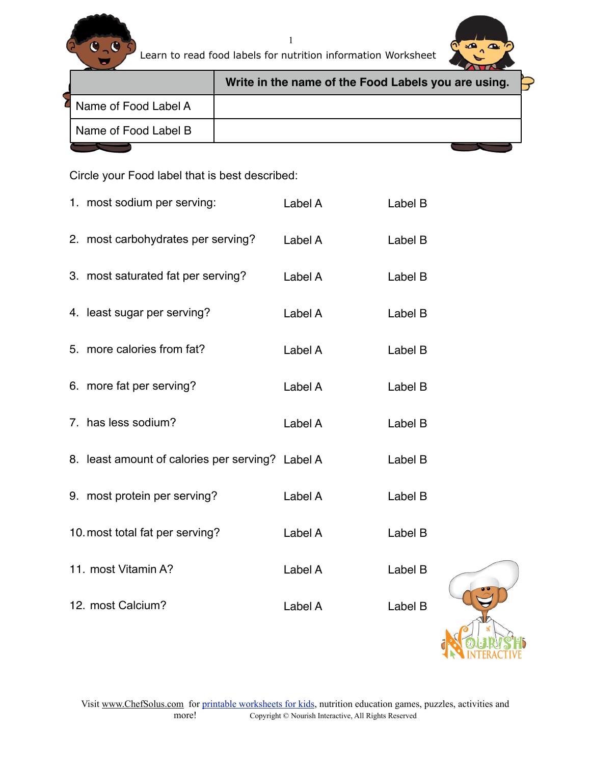

Learn to read food labels for nutrition information Worksheet



|                        | Write in the name of the Food Labels you are using. |  |  |  |
|------------------------|-----------------------------------------------------|--|--|--|
| I Name of Food Label A |                                                     |  |  |  |
| Name of Food Label B   |                                                     |  |  |  |
|                        |                                                     |  |  |  |

Circle your Food label that is best described:

| 1. most sodium per serving:                      | Label A | Label B |  |
|--------------------------------------------------|---------|---------|--|
| 2. most carbohydrates per serving?               | Label A | Label B |  |
| 3. most saturated fat per serving?               | Label A | Label B |  |
| 4. least sugar per serving?                      | Label A | Label B |  |
| 5. more calories from fat?                       | Label A | Label B |  |
| 6. more fat per serving?                         | Label A | Label B |  |
| 7. has less sodium?                              | Label A | Label B |  |
| 8. least amount of calories per serving? Label A |         | Label B |  |
| 9. most protein per serving?                     | Label A | Label B |  |
| 10. most total fat per serving?                  | Label A | Label B |  |
| 11. most Vitamin A?                              | Label A | Label B |  |
| 12. most Calcium?                                | Label A | Label B |  |
|                                                  |         |         |  |

1